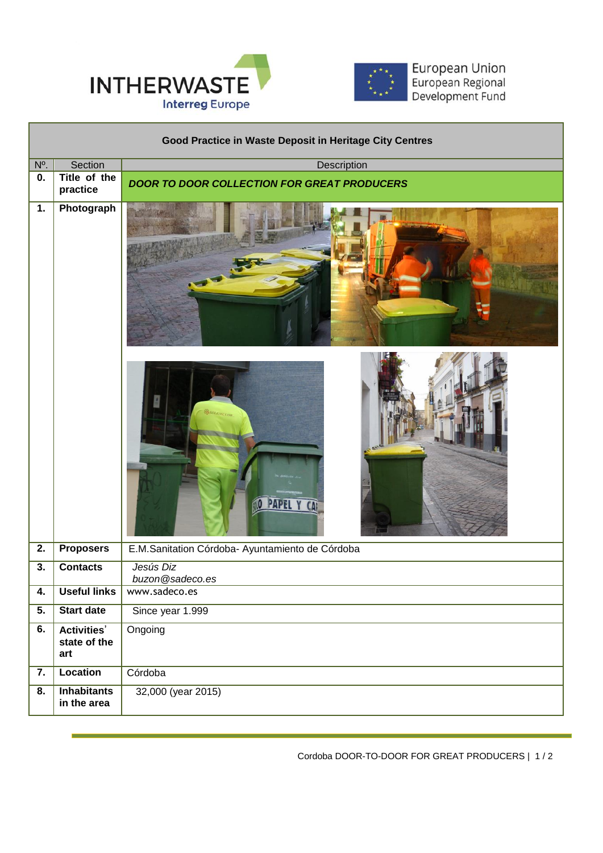



European Union<br>European Regional<br>Development Fund

| Good Practice in Waste Deposit in Heritage City Centres |                                           |                                                    |
|---------------------------------------------------------|-------------------------------------------|----------------------------------------------------|
| N <sup>o</sup> .                                        | Section                                   | Description                                        |
| 0.                                                      | Title of the<br>practice                  | <b>DOOR TO DOOR COLLECTION FOR GREAT PRODUCERS</b> |
| 1.                                                      | Photograph                                |                                                    |
|                                                         |                                           | SOLLMCCOR                                          |
| 2.                                                      | <b>Proposers</b>                          | E.M.Sanitation Córdoba- Ayuntamiento de Córdoba    |
| 3.                                                      | <b>Contacts</b>                           | Jesús Diz<br>buzon@sadeco.es                       |
| 4.                                                      | <b>Useful links</b>                       | www.sadeco.es                                      |
| $\overline{5}$ .                                        | <b>Start date</b>                         | Since year 1.999                                   |
| 6.                                                      | <b>Activities'</b><br>state of the<br>art | Ongoing                                            |
| 7.                                                      | <b>Location</b>                           | Córdoba                                            |
| 8.                                                      | <b>Inhabitants</b><br>in the area         | 32,000 (year 2015)                                 |

 $\overline{a}$ 

Cordoba DOOR-TO-DOOR FOR GREAT PRODUCERS | 1 / 2